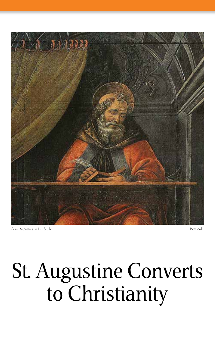

Saint Augustine in His Study **Botticelli** 

## St. Augustine Converts to Christianity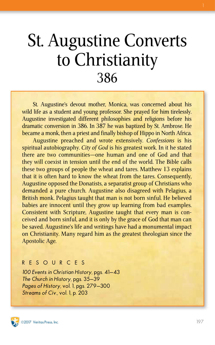## St. Augustine Converts to Christianity 386

St. Augustine's devout mother, Monica, was concerned about his wild life as a student and young professor. She prayed for him tirelessly. Augustine investigated different philosophies and religions before his dramatic conversion in 386. In 387 he was baptized by St. Ambrose. He became a monk, then a priest and finally bishop of Hippo in North Africa.

Augustine preached and wrote extensively. *Confessions* is his spiritual autobiography. *City of God* is his greatest work. In it he stated there are two communities—one human and one of God and that they will coexist in tension until the end of the world. The Bible calls these two groups of people the wheat and tares. Matthew 13 explains that it is often hard to know the wheat from the tares. Consequently, Augustine opposed the Donatists, a separatist group of Christians who demanded a pure church. Augustine also disagreed with Pelagius, a British monk. Pelagius taught that man is not born sinful. He believed babies are innocent until they grow up learning from bad examples. Consistent with Scripture, Augustine taught that every man is conceived and born sinful, and it is only by the grace of God that man can be saved. Augustine's life and writings have had a monumental impact on Christianity. Many regard him as the greatest theologian since the Apostolic Age.

#### RESOURCES

100 Events in Christian History, pgs. 41–43 The Church in History, pgs. 35–39 Pages of History, vol. 1, pgs. 279–300 Streams of Civ., vol. 1, p. 203

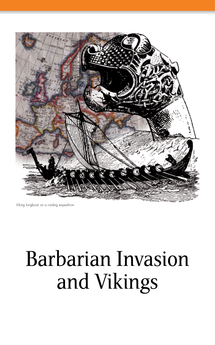

Viking longboat on a raiding expedition

# Barbarian Invasion and Vikings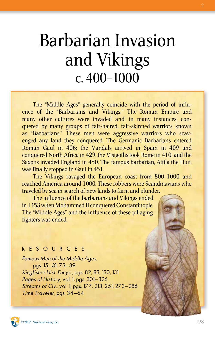## Barbarian Invasion and Vikings c. 400–1000

The "Middle Ages" generally coincide with the period of influence of the "Barbarians and Vikings." The Roman Empire and many other cultures were invaded and, in many instances, conquered by many groups of fair-haired, fair-skinned warriors known as "Barbarians." These men were aggressive warriors who scavenged any land they conquered. The Germanic Barbarians entered Roman Gaul in 406; the Vandals arrived in Spain in 409 and conquered North Africa in 429; the Visigoths took Rome in 410; and the Saxons invaded England in 450. The famous barbarian, Attila the Hun, was finally stopped in Gaul in 451.

The Vikings ravaged the European coast from 800–1000 and reached America around 1000. These robbers were Scandinavians who traveled by sea in search of new lands to farm and plunder.

The influence of the barbarians and Vikings ended in 1453 when Mohammed II conquered Constantinople. The "Middle Ages" and the influence of these pillaging fighters was ended.

### RESOURCES

Famous Men of the Middle Ages, pgs. 15–31, 73–89 Kingfisher Hist. Encyc., pgs. 82, 83, 130, 131 Pages of History, vol. 1, pgs. 301–326 Streams of Civ., vol. 1, pgs. 177, 213, 251, 273–286 Time Traveler, pgs. 34–64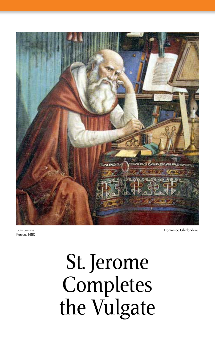

Saint lerome Fresco, 1480 Domenico Ghirlandaio

# St. Jerome Completes the Vulgate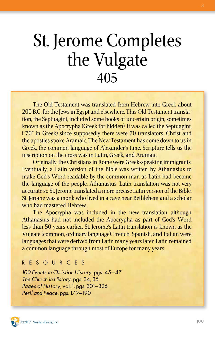## St. Jerome Completes the Vulgate 405

The Old Testament was translated from Hebrew into Greek about 200 B.C. for the Jews in Egypt and elsewhere. This Old Testament translation, the Septuagint, included some books of uncertain origin, sometimes known as the Apocrypha (Greek for hidden). It was called the Septuagint, ("70" in Greek) since supposedly there were 70 translators. Christ and the apostles spoke Aramaic. The New Testament has come down to us in Greek, the common language of Alexander's time. Scripture tells us the inscription on the cross was in Latin, Greek, and Aramaic.

Originally, the Christians in Rome were Greek-speaking immigrants. Eventually, a Latin version of the Bible was written by Athanasius to make God's Word readable by the common man as Latin had become the language of the people. Athanasius' Latin translation was not very accurate so St. Jerome translated a more precise Latin version of the Bible. St. Jerome was a monk who lived in a cave near Bethlehem and a scholar who had mastered Hebrew.

The Apocrypha was included in the new translation although Athanasius had not included the Apocrypha as part of God's Word less than 50 years earlier. St. Jerome's Latin translation is known as the Vulgate (common, ordinary language). French, Spanish, and Italian were languages that were derived from Latin many years later. Latin remained a common language through most of Europe for many years.

#### RESOURCES

100 Events in Christian History, pgs. 45–47 The Church in History, pgs. 34, 35 Pages of History, vol. 1, pgs. 301–326 Peril and Peace, pgs. 179–190

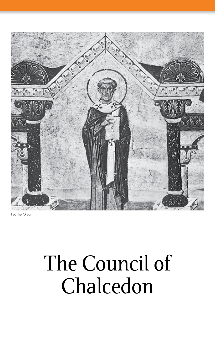

Leo the Great

# The Council of Chalcedon